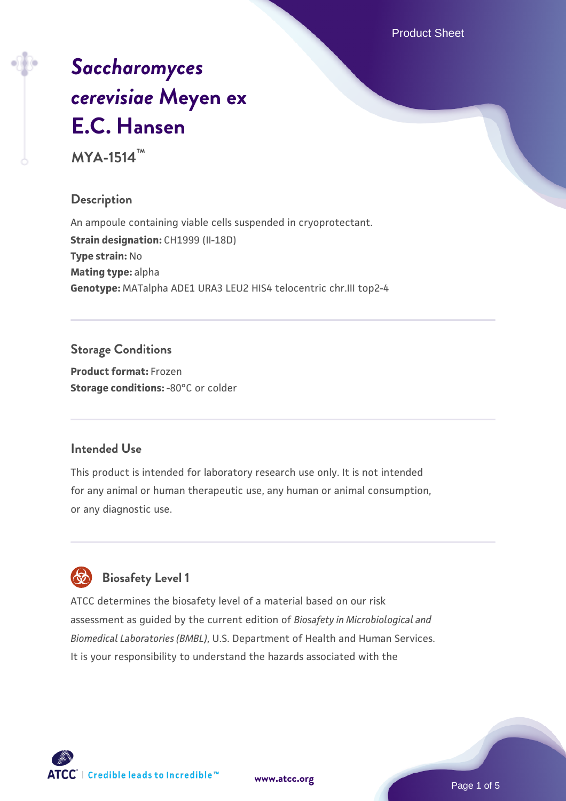Product Sheet

# *[Saccharomyces](https://www.atcc.org/products/mya-1514) [cerevisiae](https://www.atcc.org/products/mya-1514)* **[Meyen ex](https://www.atcc.org/products/mya-1514) [E.C. Hansen](https://www.atcc.org/products/mya-1514)**

**MYA-1514™**

# **Description**

An ampoule containing viable cells suspended in cryoprotectant. **Strain designation: CH1999 (II-18D) Type strain:** No **Mating type:** alpha **Genotype:** MATalpha ADE1 URA3 LEU2 HIS4 telocentric chr.III top2-4

# **Storage Conditions**

**Product format:** Frozen **Storage conditions: -80°C or colder** 

# **Intended Use**

This product is intended for laboratory research use only. It is not intended for any animal or human therapeutic use, any human or animal consumption, or any diagnostic use.

# **Biosafety Level 1**

ATCC determines the biosafety level of a material based on our risk assessment as guided by the current edition of *Biosafety in Microbiological and Biomedical Laboratories (BMBL)*, U.S. Department of Health and Human Services. It is your responsibility to understand the hazards associated with the

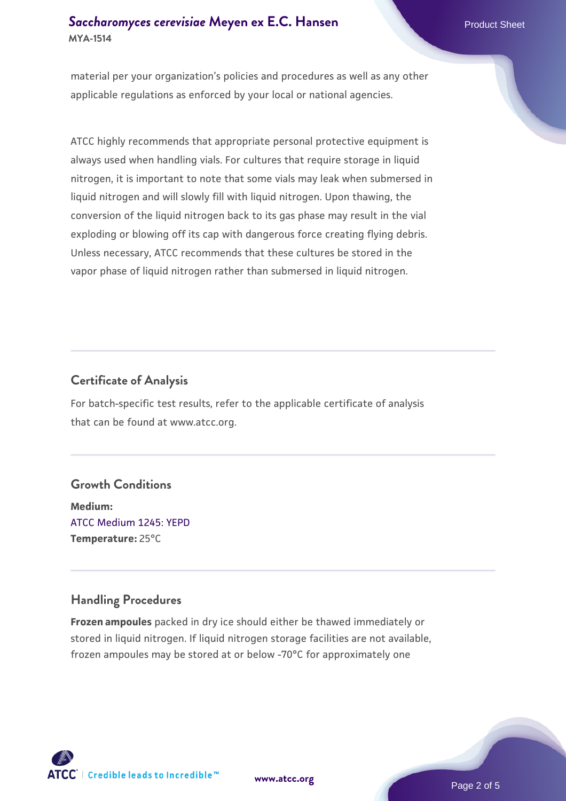## **[Saccharomyces cerevisiae](https://www.atcc.org/products/mya-1514)** [Meyen ex E.C. Hansen](https://www.atcc.org/products/mya-1514) **MYA-1514**

material per your organization's policies and procedures as well as any other applicable regulations as enforced by your local or national agencies.

ATCC highly recommends that appropriate personal protective equipment is always used when handling vials. For cultures that require storage in liquid nitrogen, it is important to note that some vials may leak when submersed in liquid nitrogen and will slowly fill with liquid nitrogen. Upon thawing, the conversion of the liquid nitrogen back to its gas phase may result in the vial exploding or blowing off its cap with dangerous force creating flying debris. Unless necessary, ATCC recommends that these cultures be stored in the vapor phase of liquid nitrogen rather than submersed in liquid nitrogen.

# **Certificate of Analysis**

For batch-specific test results, refer to the applicable certificate of analysis that can be found at www.atcc.org.

# **Growth Conditions**

**Medium:**  [ATCC Medium 1245: YEPD](https://www.atcc.org/-/media/product-assets/documents/microbial-media-formulations/1/2/4/5/atcc-medium-1245.pdf?rev=705ca55d1b6f490a808a965d5c072196) **Temperature:** 25°C

# **Handling Procedures**

**Frozen ampoules** packed in dry ice should either be thawed immediately or stored in liquid nitrogen. If liquid nitrogen storage facilities are not available, frozen ampoules may be stored at or below -70°C for approximately one



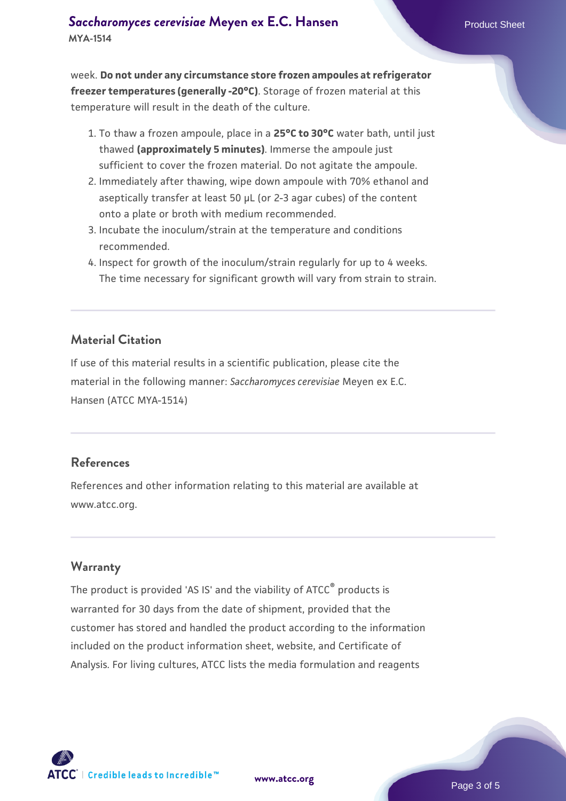week. **Do not under any circumstance store frozen ampoules at refrigerator freezer temperatures (generally -20°C)**. Storage of frozen material at this temperature will result in the death of the culture.

- 1. To thaw a frozen ampoule, place in a **25°C to 30°C** water bath, until just thawed **(approximately 5 minutes)**. Immerse the ampoule just sufficient to cover the frozen material. Do not agitate the ampoule.
- 2. Immediately after thawing, wipe down ampoule with 70% ethanol and aseptically transfer at least 50 µL (or 2-3 agar cubes) of the content onto a plate or broth with medium recommended.
- Incubate the inoculum/strain at the temperature and conditions 3. recommended.
- 4. Inspect for growth of the inoculum/strain regularly for up to 4 weeks. The time necessary for significant growth will vary from strain to strain.

#### **Material Citation**

If use of this material results in a scientific publication, please cite the material in the following manner: *Saccharomyces cerevisiae* Meyen ex E.C. Hansen (ATCC MYA-1514)

#### **References**

References and other information relating to this material are available at www.atcc.org.

#### **Warranty**

The product is provided 'AS IS' and the viability of ATCC® products is warranted for 30 days from the date of shipment, provided that the customer has stored and handled the product according to the information included on the product information sheet, website, and Certificate of Analysis. For living cultures, ATCC lists the media formulation and reagents

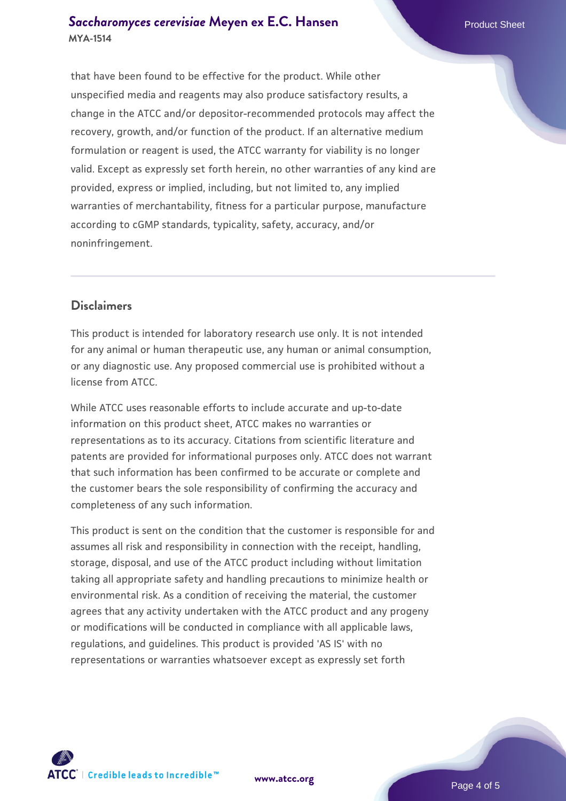#### **[Saccharomyces cerevisiae](https://www.atcc.org/products/mya-1514)** [Meyen ex E.C. Hansen](https://www.atcc.org/products/mya-1514) **MYA-1514**

that have been found to be effective for the product. While other unspecified media and reagents may also produce satisfactory results, a change in the ATCC and/or depositor-recommended protocols may affect the recovery, growth, and/or function of the product. If an alternative medium formulation or reagent is used, the ATCC warranty for viability is no longer valid. Except as expressly set forth herein, no other warranties of any kind are provided, express or implied, including, but not limited to, any implied warranties of merchantability, fitness for a particular purpose, manufacture according to cGMP standards, typicality, safety, accuracy, and/or noninfringement.

## **Disclaimers**

This product is intended for laboratory research use only. It is not intended for any animal or human therapeutic use, any human or animal consumption, or any diagnostic use. Any proposed commercial use is prohibited without a license from ATCC.

While ATCC uses reasonable efforts to include accurate and up-to-date information on this product sheet, ATCC makes no warranties or representations as to its accuracy. Citations from scientific literature and patents are provided for informational purposes only. ATCC does not warrant that such information has been confirmed to be accurate or complete and the customer bears the sole responsibility of confirming the accuracy and completeness of any such information.

This product is sent on the condition that the customer is responsible for and assumes all risk and responsibility in connection with the receipt, handling, storage, disposal, and use of the ATCC product including without limitation taking all appropriate safety and handling precautions to minimize health or environmental risk. As a condition of receiving the material, the customer agrees that any activity undertaken with the ATCC product and any progeny or modifications will be conducted in compliance with all applicable laws, regulations, and guidelines. This product is provided 'AS IS' with no representations or warranties whatsoever except as expressly set forth



**[www.atcc.org](http://www.atcc.org)**

Page 4 of 5